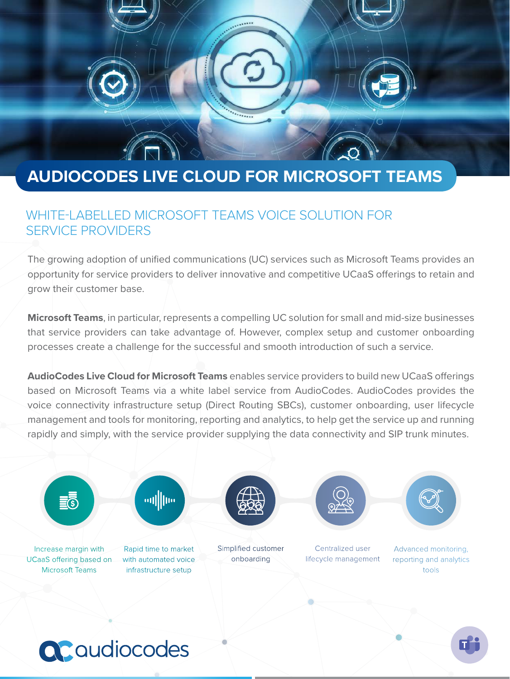# **AUDIOCODES LIVE CLOUD FOR MICROSOFT TEAMS**

#### WHITE-LABELLED MICROSOFT TEAMS VOICE SOLUTION FOR SERVICE PROVIDERS

The growing adoption of unified communications (UC) services such as Microsoft Teams provides an opportunity for service providers to deliver innovative and competitive UCaaS offerings to retain and grow their customer base.

**Microsoft Teams**, in particular, represents a compelling UC solution for small and mid-size businesses that service providers can take advantage of. However, complex setup and customer onboarding processes create a challenge for the successful and smooth introduction of such a service.

**AudioCodes Live Cloud for Microsoft Teams** enables service providers to build new UCaaS offerings based on Microsoft Teams via a white label service from AudioCodes. AudioCodes provides the voice connectivity infrastructure setup (Direct Routing SBCs), customer onboarding, user lifecycle management and tools for monitoring, reporting and analytics, to help get the service up and running rapidly and simply, with the service provider supplying the data connectivity and SIP trunk minutes.